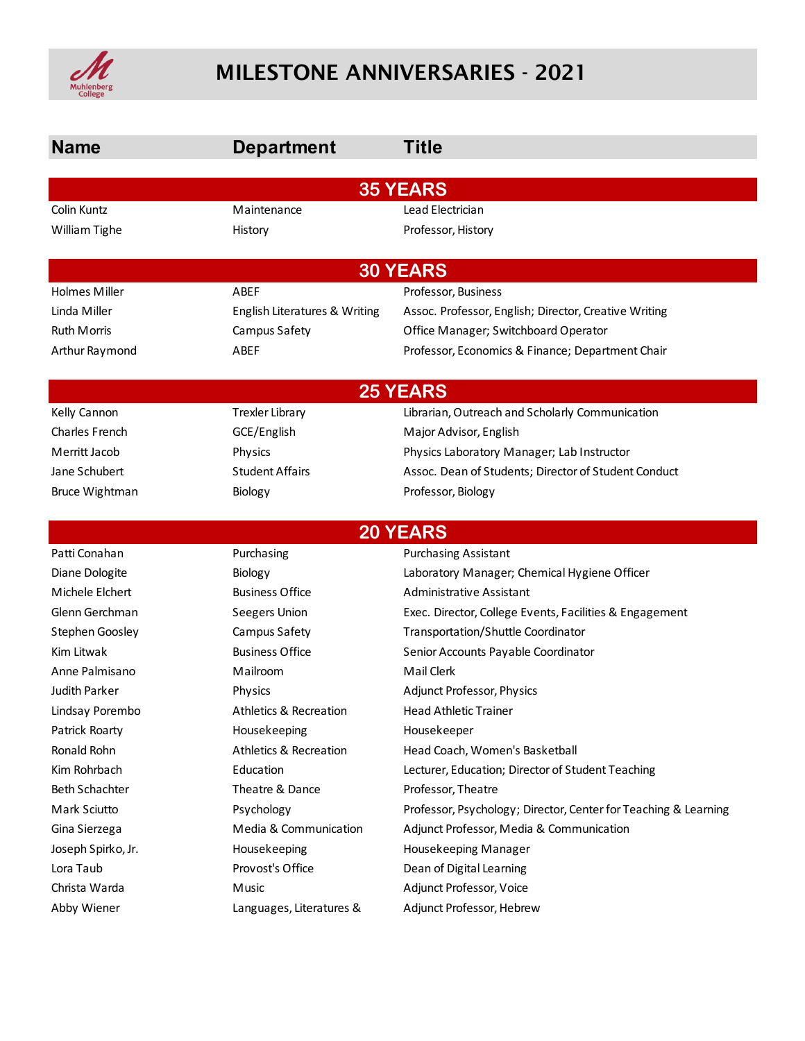

# MILESTONE ANNIVERSARIES - 2021

| <b>Name</b>           | <b>Department</b>                 | Title                                                           |  |  |  |
|-----------------------|-----------------------------------|-----------------------------------------------------------------|--|--|--|
| <b>35 YEARS</b>       |                                   |                                                                 |  |  |  |
| Colin Kuntz           | Maintenance                       | Lead Electrician                                                |  |  |  |
| William Tighe         | History                           | Professor, History                                              |  |  |  |
|                       | <b>30 YEARS</b>                   |                                                                 |  |  |  |
| <b>Holmes Miller</b>  | ABEF                              | Professor, Business                                             |  |  |  |
| Linda Miller          | English Literatures & Writing     | Assoc. Professor, English; Director, Creative Writing           |  |  |  |
| Ruth Morris           | Campus Safety                     | Office Manager; Switchboard Operator                            |  |  |  |
| Arthur Raymond        | ABEF                              | Professor, Economics & Finance; Department Chair                |  |  |  |
|                       |                                   | <b>25 YEARS</b>                                                 |  |  |  |
| Kelly Cannon          | <b>Trexler Library</b>            | Librarian, Outreach and Scholarly Communication                 |  |  |  |
| <b>Charles French</b> | GCE/English                       | Major Advisor, English                                          |  |  |  |
| Merritt Jacob         | Physics                           | Physics Laboratory Manager; Lab Instructor                      |  |  |  |
| Jane Schubert         | <b>Student Affairs</b>            | Assoc. Dean of Students; Director of Student Conduct            |  |  |  |
| <b>Bruce Wightman</b> | Biology                           | Professor, Biology                                              |  |  |  |
| <b>20 YEARS</b>       |                                   |                                                                 |  |  |  |
| Patti Conahan         | Purchasing                        | <b>Purchasing Assistant</b>                                     |  |  |  |
| Diane Dologite        | Biology                           | Laboratory Manager; Chemical Hygiene Officer                    |  |  |  |
| Michele Elchert       | <b>Business Office</b>            | Administrative Assistant                                        |  |  |  |
| Glenn Gerchman        | Seegers Union                     | Exec. Director, College Events, Facilities & Engagement         |  |  |  |
| Stephen Goosley       | Campus Safety                     | Transportation/Shuttle Coordinator                              |  |  |  |
| Kim Litwak            | <b>Business Office</b>            | Senior Accounts Payable Coordinator                             |  |  |  |
| Anne Palmisano        | Mailroom                          | Mail Clerk                                                      |  |  |  |
| <b>Judith Parker</b>  | Physics                           | Adjunct Professor, Physics                                      |  |  |  |
| Lindsay Porembo       | <b>Athletics &amp; Recreation</b> | <b>Head Athletic Trainer</b>                                    |  |  |  |
| Patrick Roarty        | Housekeeping                      | Housekeeper                                                     |  |  |  |
| Ronald Rohn           | <b>Athletics &amp; Recreation</b> | Head Coach, Women's Basketball                                  |  |  |  |
| Kim Rohrbach          | Education                         | Lecturer, Education; Director of Student Teaching               |  |  |  |
| <b>Beth Schachter</b> | Theatre & Dance                   | Professor, Theatre                                              |  |  |  |
| Mark Sciutto          | Psychology                        | Professor, Psychology; Director, Center for Teaching & Learning |  |  |  |
| Gina Sierzega         | Media & Communication             | Adjunct Professor, Media & Communication                        |  |  |  |
| Joseph Spirko, Jr.    | Housekeeping                      | Housekeeping Manager                                            |  |  |  |
| Lora Taub             | Provost's Office                  | Dean of Digital Learning                                        |  |  |  |
| Christa Warda         | Music                             | Adjunct Professor, Voice                                        |  |  |  |
| Abby Wiener           | Languages, Literatures &          | Adjunct Professor, Hebrew                                       |  |  |  |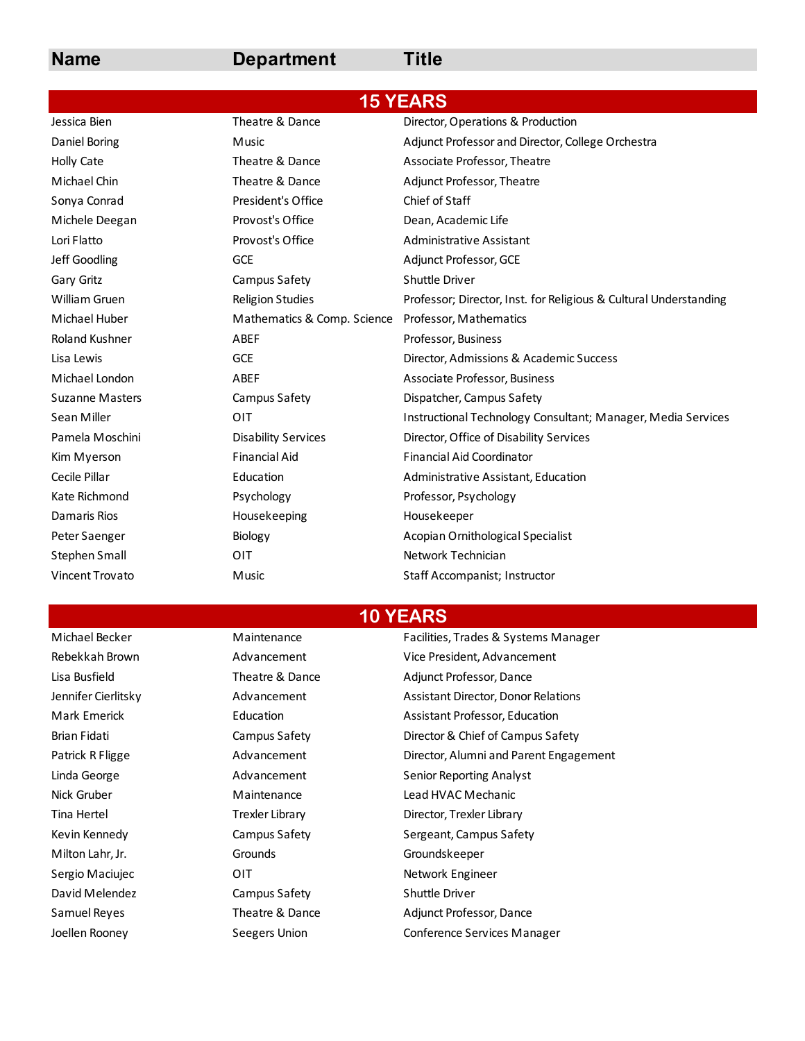## **Name Department Title**

|                        |                             | <b>15 YEARS</b>                                                   |
|------------------------|-----------------------------|-------------------------------------------------------------------|
| Jessica Bien           | Theatre & Dance             | Director, Operations & Production                                 |
| Daniel Boring          | Music                       | Adjunct Professor and Director, College Orchestra                 |
| <b>Holly Cate</b>      | Theatre & Dance             | Associate Professor, Theatre                                      |
| Michael Chin           | Theatre & Dance             | Adjunct Professor, Theatre                                        |
| Sonya Conrad           | President's Office          | Chief of Staff                                                    |
| Michele Deegan         | Provost's Office            | Dean, Academic Life                                               |
| Lori Flatto            | Provost's Office            | Administrative Assistant                                          |
| Jeff Goodling          | <b>GCE</b>                  | Adjunct Professor, GCE                                            |
| Gary Gritz             | Campus Safety               | Shuttle Driver                                                    |
| <b>William Gruen</b>   | <b>Religion Studies</b>     | Professor; Director, Inst. for Religious & Cultural Understanding |
| Michael Huber          | Mathematics & Comp. Science | Professor, Mathematics                                            |
| <b>Roland Kushner</b>  | ABEF                        | Professor, Business                                               |
| Lisa Lewis             | <b>GCE</b>                  | Director, Admissions & Academic Success                           |
| Michael London         | ABEF                        | Associate Professor, Business                                     |
| <b>Suzanne Masters</b> | Campus Safety               | Dispatcher, Campus Safety                                         |
| Sean Miller            | OIT                         | Instructional Technology Consultant; Manager, Media Services      |
| Pamela Moschini        | <b>Disability Services</b>  | Director, Office of Disability Services                           |
| Kim Myerson            | <b>Financial Aid</b>        | <b>Financial Aid Coordinator</b>                                  |
| Cecile Pillar          | Education                   | Administrative Assistant, Education                               |
| Kate Richmond          | Psychology                  | Professor, Psychology                                             |
| Damaris Rios           | Housekeeping                | Housekeeper                                                       |
| Peter Saenger          | Biology                     | Acopian Ornithological Specialist                                 |
| Stephen Small          | OIT                         | Network Technician                                                |
| Vincent Trovato        | Music                       | Staff Accompanist; Instructor                                     |
|                        |                             |                                                                   |

Milton Lahr, Jr. Grounds Groundskeeper David Melendez Campus Safety Shuttle Driver Joellen Rooney Seegers Union Conference Services Manager

**10 YEARS**

Michael Becker Maintenance Facilities, Trades & Systems Manager Rebekkah Brown **Advancement** Vice President, Advancement Lisa Busfield Theatre & Dance Adjunct Professor, Dance Jennifer Cierlitsky Advancement Assistant Director, Donor Relations Mark Emerick **Education** Education **Example 20** Assistant Professor, Education Brian Fidati **Campus Safety** Director & Chief of Campus Safety Patrick R Fligge **Advancement** Director, Alumni and Parent Engagement Constant Index and Parent Engagement Linda George **Advancement** Senior Reporting Analyst Nick Gruber **Maintenance** Lead HVAC Mechanic Tina Hertel **Trexler Library** Trexler Library **Director, Trexler Library** Kevin Kennedy **Sampus Safety** Sergeant, Campus Safety Sergio Maciujec **Network Engineer** OIT **Network Engineer** Samuel Reyes Theatre & Dance Adjunct Professor, Dance